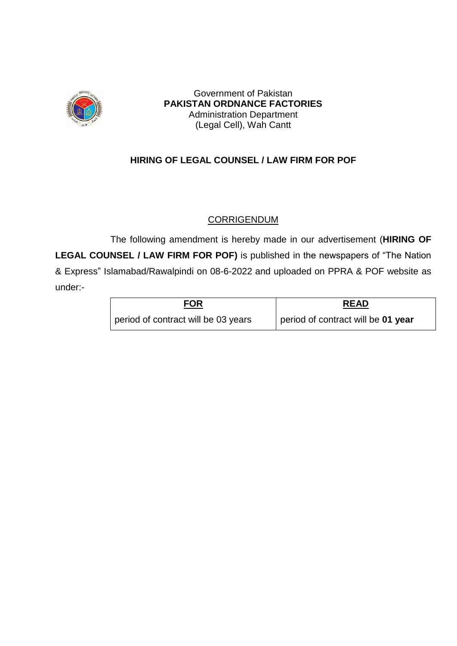

Government of Pakistan **PAKISTAN ORDNANCE FACTORIES** Administration Department (Legal Cell), Wah Cantt

### **HIRING OF LEGAL COUNSEL / LAW FIRM FOR POF**

### **CORRIGENDUM**

The following amendment is hereby made in our advertisement (**HIRING OF LEGAL COUNSEL / LAW FIRM FOR POF)** is published in the newspapers of "The Nation & Express" Islamabad/Rawalpindi on 08-6-2022 and uploaded on PPRA & POF website as under:-

| <b>FOR</b>                          | <b>READ</b>                        |  |  |
|-------------------------------------|------------------------------------|--|--|
| period of contract will be 03 years | period of contract will be 01 year |  |  |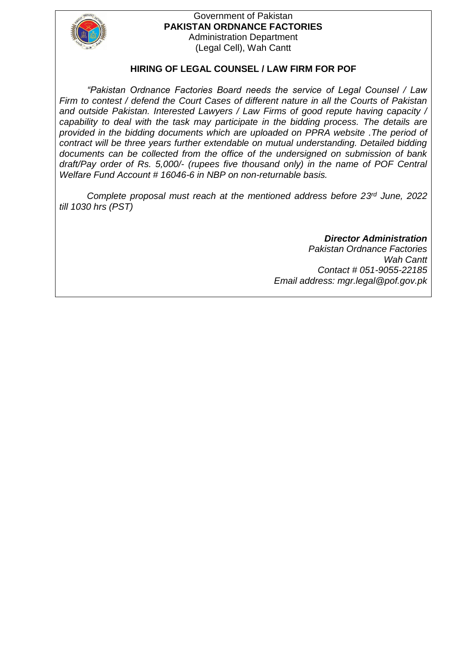

#### Government of Pakistan **PAKISTAN ORDNANCE FACTORIES** Administration Department (Legal Cell), Wah Cantt

#### **HIRING OF LEGAL COUNSEL / LAW FIRM FOR POF**

*"Pakistan Ordnance Factories Board needs the service of Legal Counsel / Law Firm to contest / defend the Court Cases of different nature in all the Courts of Pakistan and outside Pakistan. Interested Lawyers / Law Firms of good repute having capacity / capability to deal with the task may participate in the bidding process. The details are provided in the bidding documents which are uploaded on PPRA website .The period of contract will be three years further extendable on mutual understanding. Detailed bidding documents can be collected from the office of the undersigned on submission of bank draft/Pay order of Rs. 5,000/- (rupees five thousand only) in the name of POF Central Welfare Fund Account # 16046-6 in NBP on non-returnable basis.*

Complete proposal must reach at the mentioned address before 23<sup>rd</sup> June, 2022 *till 1030 hrs (PST)*

*Director Administration* 

*Pakistan Ordnance Factories Wah Cantt Contact # 051-9055-22185 Email address: mgr.legal@pof.gov.pk*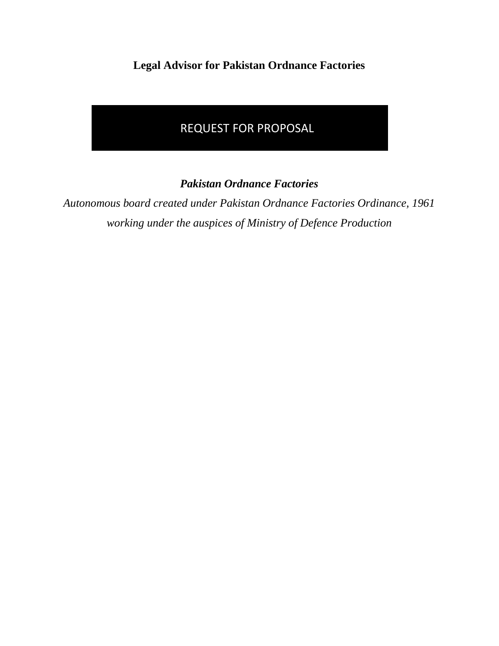**Legal Advisor for Pakistan Ordnance Factories**

# REQUEST FOR PROPOSAL

*Pakistan Ordnance Factories*

*Autonomous board created under Pakistan Ordnance Factories Ordinance, 1961 working under the auspices of Ministry of Defence Production*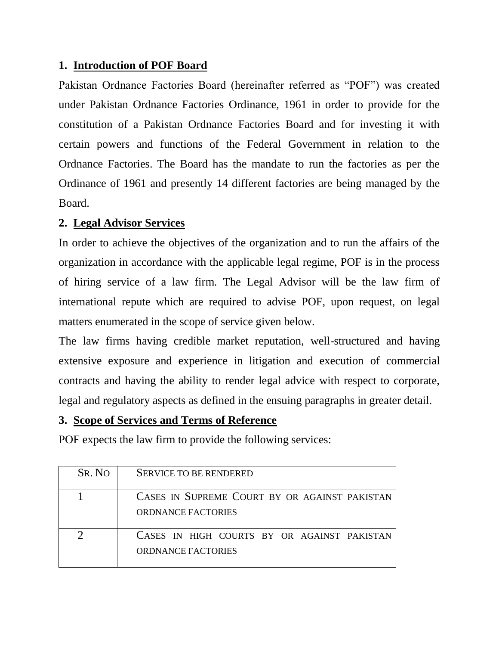### **1. Introduction of POF Board**

Pakistan Ordnance Factories Board (hereinafter referred as "POF") was created under Pakistan Ordnance Factories Ordinance, 1961 in order to provide for the constitution of a Pakistan Ordnance Factories Board and for investing it with certain powers and functions of the Federal Government in relation to the Ordnance Factories. The Board has the mandate to run the factories as per the Ordinance of 1961 and presently 14 different factories are being managed by the Board.

### **2. Legal Advisor Services**

In order to achieve the objectives of the organization and to run the affairs of the organization in accordance with the applicable legal regime, POF is in the process of hiring service of a law firm. The Legal Advisor will be the law firm of international repute which are required to advise POF, upon request, on legal matters enumerated in the scope of service given below.

The law firms having credible market reputation, well-structured and having extensive exposure and experience in litigation and execution of commercial contracts and having the ability to render legal advice with respect to corporate, legal and regulatory aspects as defined in the ensuing paragraphs in greater detail.

### **3. Scope of Services and Terms of Reference**

POF expects the law firm to provide the following services:

| SR. NO | <b>SERVICE TO BE RENDERED</b>                                              |
|--------|----------------------------------------------------------------------------|
|        | CASES IN SUPREME COURT BY OR AGAINST PAKISTAN<br><b>ORDNANCE FACTORIES</b> |
|        | CASES IN HIGH COURTS BY OR AGAINST PAKISTAN<br><b>ORDNANCE FACTORIES</b>   |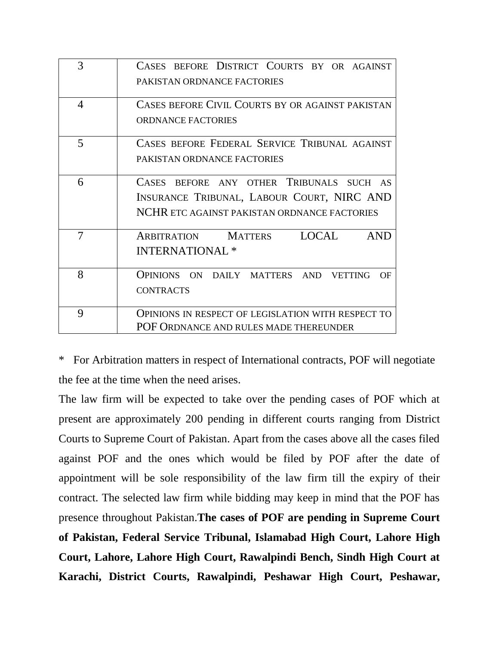| 3              | CASES BEFORE DISTRICT COURTS BY OR AGAINST<br>PAKISTAN ORDNANCE FACTORIES                                                                        |  |  |  |  |  |  |
|----------------|--------------------------------------------------------------------------------------------------------------------------------------------------|--|--|--|--|--|--|
| $\overline{4}$ | CASES BEFORE CIVIL COURTS BY OR AGAINST PAKISTAN<br><b>ORDNANCE FACTORIES</b>                                                                    |  |  |  |  |  |  |
| 5              | CASES BEFORE FEDERAL SERVICE TRIBUNAL AGAINST<br>PAKISTAN ORDNANCE FACTORIES                                                                     |  |  |  |  |  |  |
| 6              | BEFORE ANY OTHER TRIBUNALS SUCH AS<br><b>CASES</b><br>INSURANCE TRIBUNAL, LABOUR COURT, NIRC AND<br>NCHR ETC AGAINST PAKISTAN ORDNANCE FACTORIES |  |  |  |  |  |  |
| 7              | <b>LOCAL</b><br>ARBITRATION MATTERS<br><b>AND</b><br><b>INTERNATIONAL*</b>                                                                       |  |  |  |  |  |  |
| 8              | OPINIONS ON DAILY MATTERS AND VETTING<br>OF<br><b>CONTRACTS</b>                                                                                  |  |  |  |  |  |  |
| 9              | OPINIONS IN RESPECT OF LEGISLATION WITH RESPECT TO<br>POF ORDNANCE AND RULES MADE THEREUNDER                                                     |  |  |  |  |  |  |

\* For Arbitration matters in respect of International contracts, POF will negotiate the fee at the time when the need arises.

The law firm will be expected to take over the pending cases of POF which at present are approximately 200 pending in different courts ranging from District Courts to Supreme Court of Pakistan. Apart from the cases above all the cases filed against POF and the ones which would be filed by POF after the date of appointment will be sole responsibility of the law firm till the expiry of their contract. The selected law firm while bidding may keep in mind that the POF has presence throughout Pakistan.**The cases of POF are pending in Supreme Court of Pakistan, Federal Service Tribunal, Islamabad High Court, Lahore High Court, Lahore, Lahore High Court, Rawalpindi Bench, Sindh High Court at Karachi, District Courts, Rawalpindi, Peshawar High Court, Peshawar,**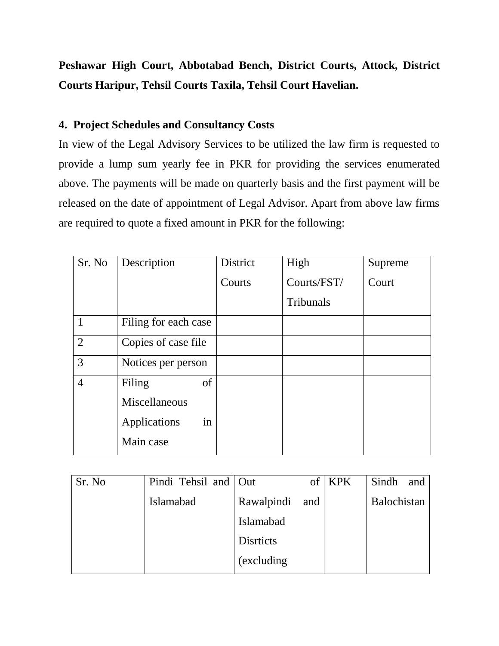# **Peshawar High Court, Abbotabad Bench, District Courts, Attock, District Courts Haripur, Tehsil Courts Taxila, Tehsil Court Havelian.**

# **4. Project Schedules and Consultancy Costs**

In view of the Legal Advisory Services to be utilized the law firm is requested to provide a lump sum yearly fee in PKR for providing the services enumerated above. The payments will be made on quarterly basis and the first payment will be released on the date of appointment of Legal Advisor. Apart from above law firms are required to quote a fixed amount in PKR for the following:

| Sr. No         | Description          | District | High        | Supreme |
|----------------|----------------------|----------|-------------|---------|
|                |                      | Courts   | Courts/FST/ | Court   |
|                |                      |          | Tribunals   |         |
|                | Filing for each case |          |             |         |
| 2              | Copies of case file  |          |             |         |
| 3              | Notices per person   |          |             |         |
| $\overline{4}$ | of<br>Filing         |          |             |         |
|                | Miscellaneous        |          |             |         |
|                | Applications<br>in   |          |             |         |
|                | Main case            |          |             |         |

| Sr. No | Pindi Tehsil and Out |                  |     | <b>KPK</b> | Sindh<br>and |
|--------|----------------------|------------------|-----|------------|--------------|
|        | <b>Islamabad</b>     | Rawalpindi       | and |            | Balochistan  |
|        |                      | Islamabad        |     |            |              |
|        |                      | <b>Disrticts</b> |     |            |              |
|        |                      | (excluding)      |     |            |              |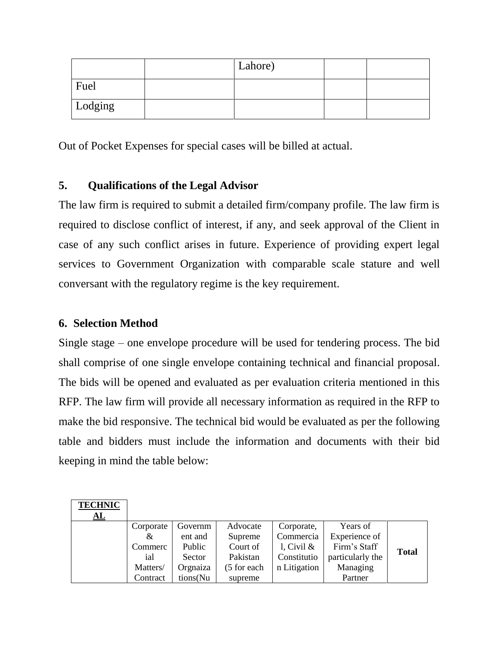|         | Lahore) |  |
|---------|---------|--|
| Fuel    |         |  |
| Lodging |         |  |

Out of Pocket Expenses for special cases will be billed at actual.

# **5. Qualifications of the Legal Advisor**

The law firm is required to submit a detailed firm/company profile. The law firm is required to disclose conflict of interest, if any, and seek approval of the Client in case of any such conflict arises in future. Experience of providing expert legal services to Government Organization with comparable scale stature and well conversant with the regulatory regime is the key requirement.

## **6. Selection Method**

Single stage – one envelope procedure will be used for tendering process. The bid shall comprise of one single envelope containing technical and financial proposal. The bids will be opened and evaluated as per evaluation criteria mentioned in this RFP. The law firm will provide all necessary information as required in the RFP to make the bid responsive. The technical bid would be evaluated as per the following table and bidders must include the information and documents with their bid keeping in mind the table below:

| <b>TECHNIC</b> |           |          |             |               |                  |              |
|----------------|-----------|----------|-------------|---------------|------------------|--------------|
| AL             |           |          |             |               |                  |              |
|                | Corporate | Governm  | Advocate    | Corporate,    | Years of         |              |
|                | &         | ent and  | Supreme     | Commercia     | Experience of    |              |
|                | Commerc   | Public   | Court of    | l, Civil $\&$ | Firm's Staff     | <b>Total</b> |
|                | ial       | Sector   | Pakistan    | Constitutio   | particularly the |              |
|                | Matters/  | Orgnaiza | (5 for each | n Litigation  | Managing         |              |
|                | Contract  | tions(Nu | supreme     |               | Partner          |              |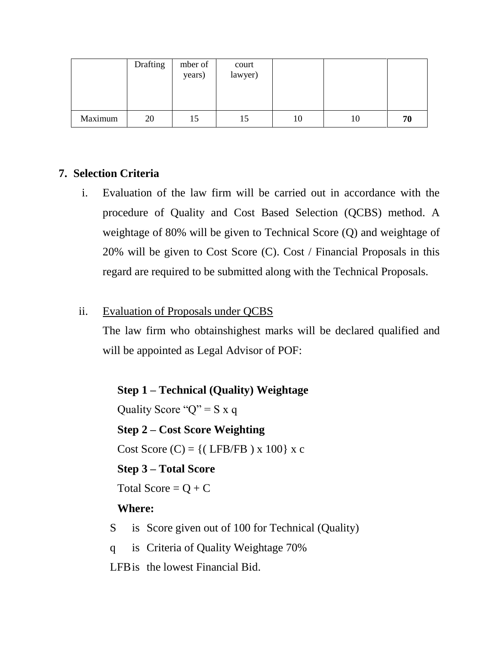|         | Drafting | mber of<br>years) | court<br>lawyer) |    |    |    |
|---------|----------|-------------------|------------------|----|----|----|
| Maximum | 20       | 15                | 15               | 10 | 10 | 70 |

# **7. Selection Criteria**

i. Evaluation of the law firm will be carried out in accordance with the procedure of Quality and Cost Based Selection (QCBS) method. A weightage of 80% will be given to Technical Score (Q) and weightage of 20% will be given to Cost Score (C). Cost / Financial Proposals in this regard are required to be submitted along with the Technical Proposals.

### ii. Evaluation of Proposals under QCBS

The law firm who obtainshighest marks will be declared qualified and will be appointed as Legal Advisor of POF:

**Step 1 – Technical (Quality) Weightage**  Quality Score " $Q$ " = S x q **Step 2 – Cost Score Weighting**  Cost Score  $(C) = \{$  (LFB/FB) x 100 $\}$  x c **Step 3 – Total Score**  Total Score =  $Q + C$ **Where:**  S is Score given out of 100 for Technical (Quality) q is Criteria of Quality Weightage 70%

LFBis the lowest Financial Bid.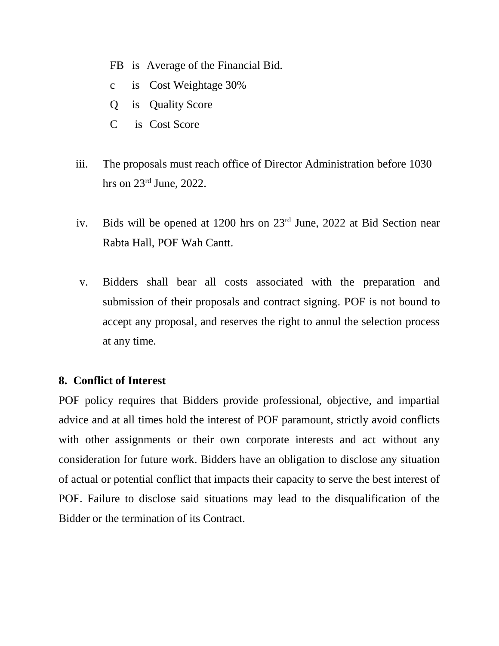- FB is Average of the Financial Bid.
- c is Cost Weightage 30%
- Q is Quality Score
- C is Cost Score
- iii. The proposals must reach office of Director Administration before 1030 hrs on 23<sup>rd</sup> June, 2022.
- iv. Bids will be opened at 1200 hrs on 23rd June, 2022 at Bid Section near Rabta Hall, POF Wah Cantt.
- v. Bidders shall bear all costs associated with the preparation and submission of their proposals and contract signing. POF is not bound to accept any proposal, and reserves the right to annul the selection process at any time.

### **8. Conflict of Interest**

POF policy requires that Bidders provide professional, objective, and impartial advice and at all times hold the interest of POF paramount, strictly avoid conflicts with other assignments or their own corporate interests and act without any consideration for future work. Bidders have an obligation to disclose any situation of actual or potential conflict that impacts their capacity to serve the best interest of POF. Failure to disclose said situations may lead to the disqualification of the Bidder or the termination of its Contract.